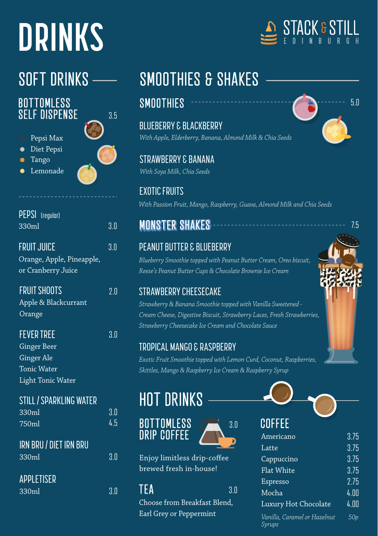# **DRINKS**

### **BOTTOMLESS** SELF DISPENSE

Pepsi Max Diet Pepsi

- Tango
- Lemonade



3.5

| <b>PEPSI</b> (regular)                          |     |
|-------------------------------------------------|-----|
| 330ml                                           | 3.0 |
| <b>FRUIT JUICE</b>                              | 3.0 |
| Orange, Apple, Pineapple,<br>or Cranberry Juice |     |
| <b>FRUIT SHOOTS</b>                             | ን በ |
| Apple & Blackcurrant<br>Orange                  |     |
| <b>FEVER TREE</b>                               | 3.0 |
| <b>Ginger Beer</b>                              |     |
| <b>Ginger Ale</b>                               |     |
| <b>Tonic Water</b>                              |     |
| Light Tonic Water                               |     |
| STILL / SPARKLING WATER                         |     |
| 330ml                                           | 3.0 |
| 750ml                                           | 4.5 |
| IRN BRU / DIET IRN BRU                          |     |
| 330ml                                           | 3 N |

### **APPLETISER**

 $330 \text{ml}$   $3.0 \text{m}$ 

# SOFT DRINKS - SMOOTHIES & SHAKES

BLUEBERRY & BLACKBERRY *With Apple, Elderberry, Banana, Almond Milk & Chia Seeds*

STRAWBERRY & BANANA *With Soya Milk, Chia Seeds*

EXOTIC FRUITS *With Passion Fruit, Mango, Raspberry, Guava, Almond Milk and Chia Seeds*

### **MONSTER SHAKES**

### PEANUT BUTTER & BLUEBERRY

*Blueberry Smoothie topped with Peanut Butter Cream, Oreo biscuit, Reese's Peanut Butter Cups & Chocolate Brownie Ice Cream*

### STRAWBERRY CHEESECAKE

*Strawberry & Banana Smoothie topped with Vanilla Sweetened - Cream Cheese, Digestive Biscuit, Strawberry Laces, Fresh Strawberries, Strawberry Cheesecake Ice Cream and Chocolate Sauce*

### TROPICAL MANGO & RASPBERRY

*Exotic Fruit Smoothie topped with Lemon Curd, Coconut, Raspberries, Skittles, Mango & Raspberry Ice Cream & Raspberry Syrup*

3.0

# HOT DRINKS

### BOTTOMLESS DRIP COFFEE



Enjoy limitless drip-coffee brewed fresh in-house!

TFA 3.0

Choose from Breakfast Blend. Earl Grey or Peppermint







7.5

# COFFEE

| UUFFEE                                 |      |
|----------------------------------------|------|
| Americano                              | 3.75 |
| Latte                                  | 3.75 |
| Cappuccino                             | 3.75 |
| Flat White                             | 3.75 |
| Espresso                               | 2.75 |
| Mocha                                  | 4.00 |
| Luxury Hot Chocolate                   | 4.00 |
| Vanilla, Caramel or Hazelnut<br>Syrups | 50p  |